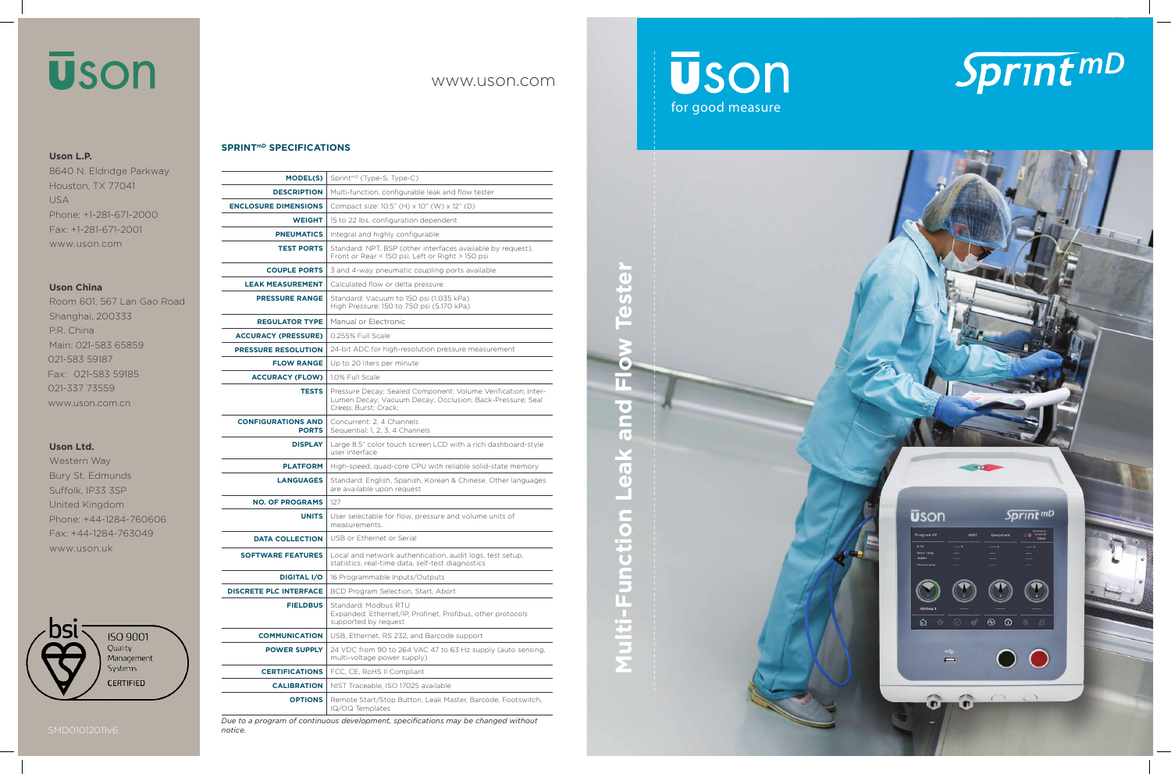# **Uson** for good measure

**Multi-Function Leak and Flow Tester**

**Multi-Function Leak** 

 $\blacksquare$ 

 $\epsilon$ O

 $\overline{\mathbf{e}}$ 





### **SPRINTmD SPECIFICATIONS**

| <b>MODEL(S)</b>                           | Sprint <sup>mD</sup> (Type-S, Type-C)                                                                                                              |
|-------------------------------------------|----------------------------------------------------------------------------------------------------------------------------------------------------|
| <b>DESCRIPTION</b>                        | Multi-function, configurable leak and flow tester                                                                                                  |
| <b>ENCLOSURE DIMENSIONS</b>               | Compact size: 10.5" (H) x 10" (W) x 12" (D)                                                                                                        |
| <b>WEIGHT</b>                             | 15 to 22 lbs, configuration dependent                                                                                                              |
| <b>PNEUMATICS</b>                         | Integral and highly configurable                                                                                                                   |
| <b>TEST PORTS</b>                         | Standard: NPT, BSP (other interfaces available by request),<br>Front or Rear < 150 psi, Left or Right > 150 psi                                    |
| <b>COUPLE PORTS</b>                       | 3 and 4-way pneumatic coupling ports available                                                                                                     |
| <b>LEAK MEASUREMENT</b>                   | Calculated flow or delta pressure                                                                                                                  |
| <b>PRESSURE RANGE</b>                     | Standard: Vacuum to 150 psi (1,035 kPa)<br>High Pressure: 150 to 750 psi (5,170 kPa)                                                               |
| <b>REGULATOR TYPE</b>                     | Manual or Electronic                                                                                                                               |
| <b>ACCURACY (PRESSURE)</b>                | 0.255% Full Scale                                                                                                                                  |
| <b>PRESSURE RESOLUTION</b>                | 24-bit ADC for high-resolution pressure measurement                                                                                                |
| <b>FLOW RANGE</b>                         | Up to 20 liters per minute                                                                                                                         |
| <b>ACCURACY (FLOW)</b>                    | 1.0% Full Scale                                                                                                                                    |
| <b>TESTS</b>                              | Pressure Decay; Sealed Component; Volume Verification; Inter-<br>Lumen Decay; Vacuum Decay; Occlusion; Back-Pressure; Seal<br>Creep; Burst; Crack; |
| <b>CONFIGURATIONS AND</b><br><b>PORTS</b> | Concurrent: 2, 4 Channels<br>Sequential: 1, 2, 3, 4 Channels                                                                                       |
| <b>DISPLAY</b>                            | Large 8.5" color touch screen LCD with a rich dashboard-style<br>user interface                                                                    |
| <b>PLATFORM</b>                           | High-speed, quad-core CPU with reliable solid-state memory                                                                                         |
| <b>LANGUAGES</b>                          | Standard: English, Spanish, Korean & Chinese. Other languages<br>are available upon request                                                        |
| <b>NO. OF PROGRAMS</b>                    | 127                                                                                                                                                |
| <b>UNITS</b>                              | User selectable for flow, pressure and volume units of<br>measurements.                                                                            |
| <b>DATA COLLECTION</b>                    | USB or Ethernet or Serial                                                                                                                          |
| <b>SOFTWARE FEATURES</b>                  | Local and network authentication, audit logs, test setup,<br>statistics, real-time data, self-test diagnostics                                     |
| <b>DIGITAL I/O</b>                        | 16 Programmable Inputs/Outputs                                                                                                                     |
| <b>DISCRETE PLC INTERFACE</b>             | BCD Program Selection, Start, Abort                                                                                                                |
| <b>FIELDBUS</b>                           | Standard: Modbus RTU<br>Expanded: Ethernet/IP, Profinet, Profibus, other protocols<br>supported by request                                         |
| <b>COMMUNICATION</b>                      | USB, Ethernet, RS 232, and Barcode support                                                                                                         |
| <b>POWER SUPPLY</b>                       | 24 VDC from 90 to 264 VAC 47 to 63 Hz supply (auto sensing,<br>multi-voltage power supply)                                                         |
| <b>CERTIFICATIONS</b>                     | FCC, CE, RoHS II Compliant                                                                                                                         |
| <b>CALIBRATION</b>                        | NIST Traceable, ISO 17025 available                                                                                                                |
| <b>OPTIONS</b>                            | Remote Start/Stop Button, Leak Master, Barcode, Footswitch,<br>IQ/OQ Templates                                                                     |

*Due to a program of continuous development, specifications may be changed without notice.* 

# www.uson.com

# **ūson**

## **Uson L.P.**

8640 N. Eldridge Parkway Houston, TX 77041 USA Phone: +1-281-671-2000 Fax: +1-281-671-2001 www.uson.com

### **Uson China**

Room 601, 567 Lan Gao Road Shanghai, 200333 P.R. China Main: 021-583 65859 021-583 59187 Fax: 021-583 59185 021-337 73559 ww w.uson.com.cn

### **Uson Ltd.**

Western Way Bury St. Edmunds Suffolk, IP33 3SP United Kingdom Phone: +44-1284-760606 Fax: +44-1284-763049 www.uson.uk